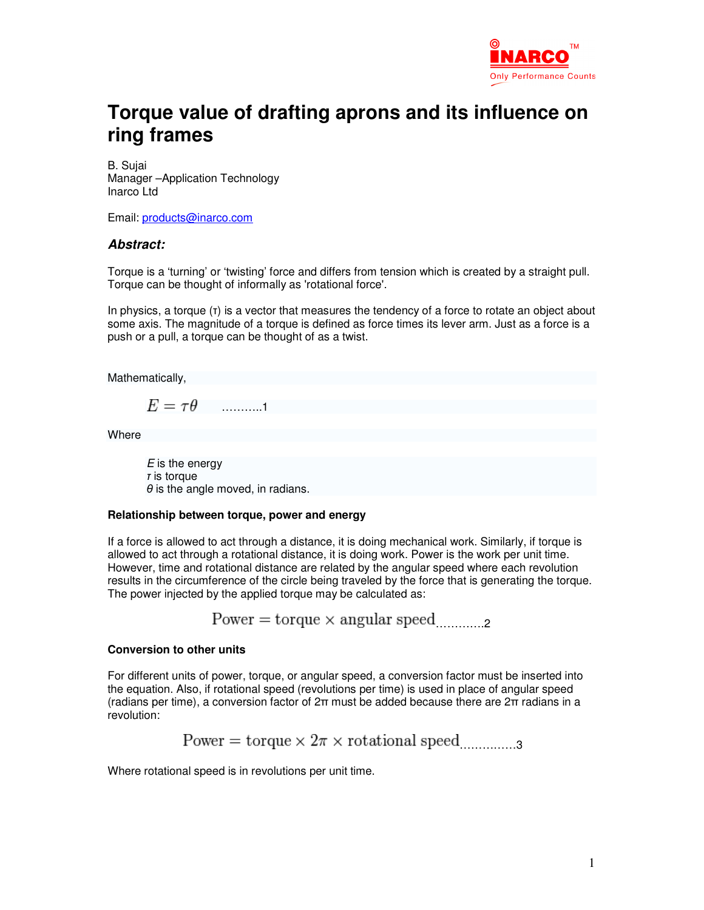

# **Torque value of drafting aprons and its influence on ring frames**

B. Sujai Manager –Application Technology Inarco Ltd

Email: products@inarco.com

### **Abstract:**

Torque is a 'turning' or 'twisting' force and differs from tension which is created by a straight pull. Torque can be thought of informally as 'rotational force'.

In physics, a torque (τ) is a vector that measures the tendency of a force to rotate an object about some axis. The magnitude of a torque is defined as force times its lever arm. Just as a force is a push or a pull, a torque can be thought of as a twist.

Mathematically,

$$
E = \tau \theta \quad \dots \dots \dots 1
$$

**Where** 

 $E$  is the energy  $\tau$  is torque  $\theta$  is the angle moved, in radians.

#### **Relationship between torque, power and energy**

If a force is allowed to act through a distance, it is doing mechanical work. Similarly, if torque is allowed to act through a rotational distance, it is doing work. Power is the work per unit time. However, time and rotational distance are related by the angular speed where each revolution results in the circumference of the circle being traveled by the force that is generating the torque. The power injected by the applied torque may be calculated as:

Power = torque  $\times$  angular speed  $\qquad \qquad$ 

#### **Conversion to other units**

For different units of power, torque, or angular speed, a conversion factor must be inserted into the equation. Also, if rotational speed (revolutions per time) is used in place of angular speed (radians per time), a conversion factor of 2π must be added because there are 2π radians in a revolution:

Power = torque  $\times$   $2\pi$   $\times$  rotational speed

Where rotational speed is in revolutions per unit time.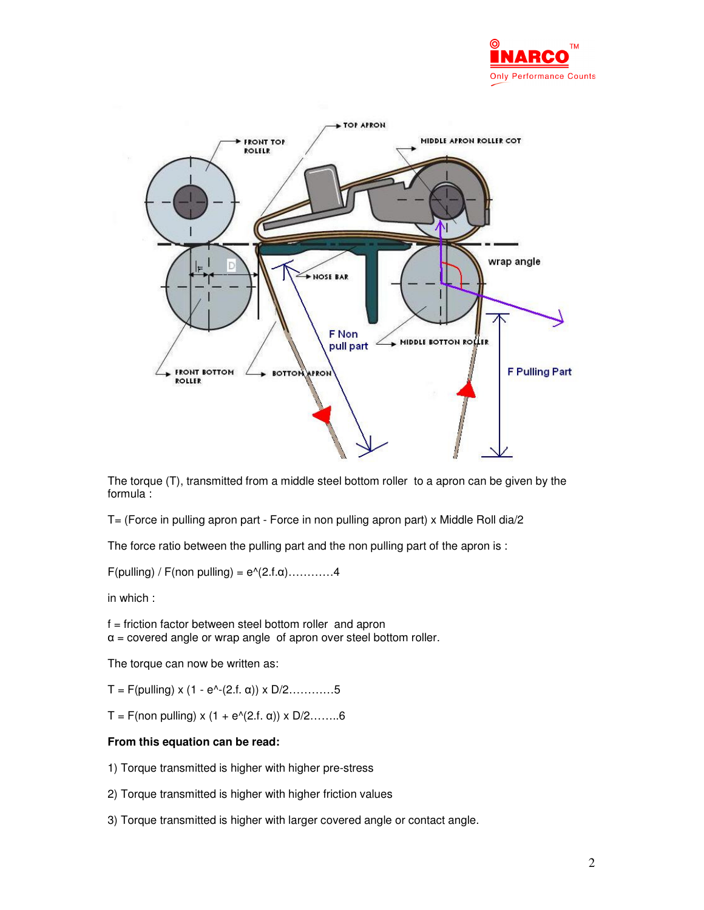



The torque (T), transmitted from a middle steel bottom roller to a apron can be given by the formula :

 $T =$  (Force in pulling apron part - Force in non pulling apron part) x Middle Roll dia/2

The force ratio between the pulling part and the non pulling part of the apron is :

 $F(pulling) / F(non pulling) = e^{\Lambda}(2.f.\alpha) \dots \dots \dots 4$ 

in which :

f = friction factor between steel bottom roller and apron

 $\alpha$  = covered angle or wrap angle of apron over steel bottom roller.

The torque can now be written as:

T = F(pulling) x (1 - e^-(2.f. α)) x D/2…………5

 $T = F$ (non pulling) x (1 + e<sup> $\land$ </sup>(2.f. α)) x D/2……..6

## **From this equation can be read:**

1) Torque transmitted is higher with higher pre-stress

- 2) Torque transmitted is higher with higher friction values
- 3) Torque transmitted is higher with larger covered angle or contact angle.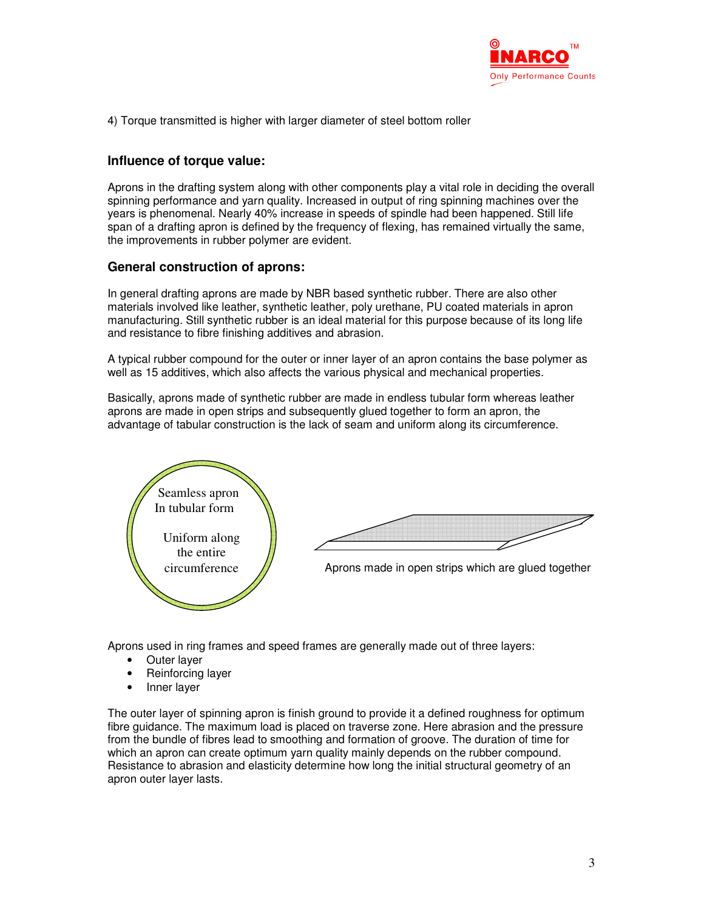

4) Torque transmitted is higher with larger diameter of steel bottom roller

## **Influence of torque value:**

Aprons in the drafting system along with other components play a vital role in deciding the overall spinning performance and yarn quality. Increased in output of ring spinning machines over the years is phenomenal. Nearly 40% increase in speeds of spindle had been happened. Still life span of a drafting apron is defined by the frequency of flexing, has remained virtually the same, the improvements in rubber polymer are evident.

### **General construction of aprons:**

In general drafting aprons are made by NBR based synthetic rubber. There are also other materials involved like leather, synthetic leather, poly urethane, PU coated materials in apron manufacturing. Still synthetic rubber is an ideal material for this purpose because of its long life and resistance to fibre finishing additives and abrasion.

A typical rubber compound for the outer or inner layer of an apron contains the base polymer as well as 15 additives, which also affects the various physical and mechanical properties.

Basically, aprons made of synthetic rubber are made in endless tubular form whereas leather aprons are made in open strips and subsequently glued together to form an apron, the advantage of tabular construction is the lack of seam and uniform along its circumference.



Aprons used in ring frames and speed frames are generally made out of three layers:

- Outer layer
- Reinforcing layer
- Inner layer

The outer layer of spinning apron is finish ground to provide it a defined roughness for optimum fibre guidance. The maximum load is placed on traverse zone. Here abrasion and the pressure from the bundle of fibres lead to smoothing and formation of groove. The duration of time for which an apron can create optimum yarn quality mainly depends on the rubber compound. Resistance to abrasion and elasticity determine how long the initial structural geometry of an apron outer layer lasts.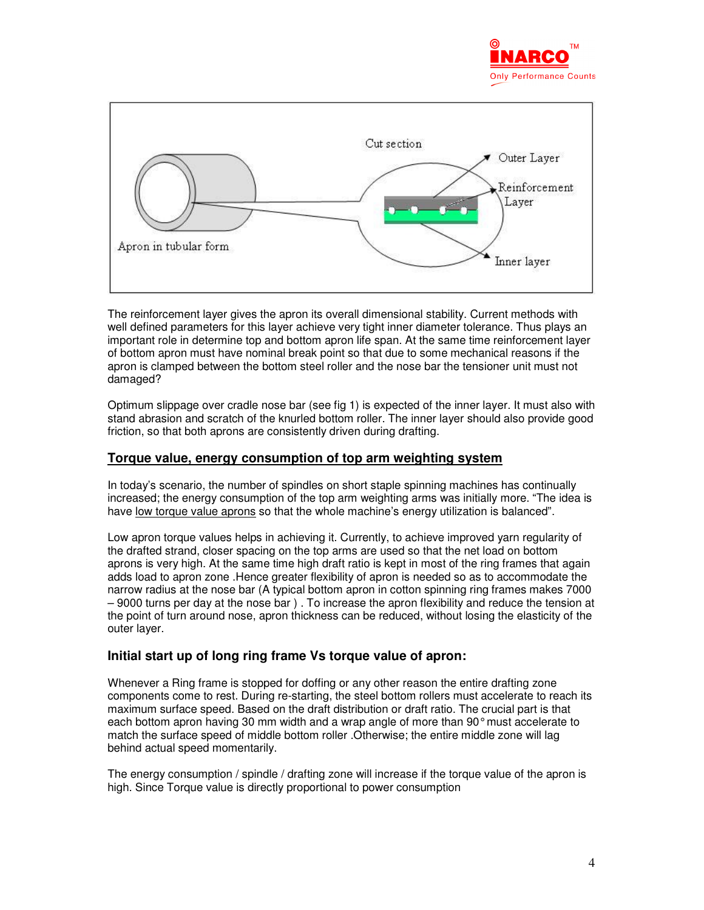



The reinforcement layer gives the apron its overall dimensional stability. Current methods with well defined parameters for this layer achieve very tight inner diameter tolerance. Thus plays an important role in determine top and bottom apron life span. At the same time reinforcement layer of bottom apron must have nominal break point so that due to some mechanical reasons if the apron is clamped between the bottom steel roller and the nose bar the tensioner unit must not damaged?

Optimum slippage over cradle nose bar (see fig 1) is expected of the inner layer. It must also with stand abrasion and scratch of the knurled bottom roller. The inner layer should also provide good friction, so that both aprons are consistently driven during drafting.

## **Torque value, energy consumption of top arm weighting system**

In today's scenario, the number of spindles on short staple spinning machines has continually increased; the energy consumption of the top arm weighting arms was initially more. "The idea is have low torque value aprons so that the whole machine's energy utilization is balanced".

Low apron torque values helps in achieving it. Currently, to achieve improved yarn regularity of the drafted strand, closer spacing on the top arms are used so that the net load on bottom aprons is very high. At the same time high draft ratio is kept in most of the ring frames that again adds load to apron zone .Hence greater flexibility of apron is needed so as to accommodate the narrow radius at the nose bar (A typical bottom apron in cotton spinning ring frames makes 7000 – 9000 turns per day at the nose bar ) . To increase the apron flexibility and reduce the tension at the point of turn around nose, apron thickness can be reduced, without losing the elasticity of the outer layer.

### **Initial start up of long ring frame Vs torque value of apron:**

Whenever a Ring frame is stopped for doffing or any other reason the entire drafting zone components come to rest. During re-starting, the steel bottom rollers must accelerate to reach its maximum surface speed. Based on the draft distribution or draft ratio. The crucial part is that each bottom apron having 30 mm width and a wrap angle of more than 90° must accelerate to match the surface speed of middle bottom roller .Otherwise; the entire middle zone will lag behind actual speed momentarily.

The energy consumption / spindle / drafting zone will increase if the torque value of the apron is high. Since Torque value is directly proportional to power consumption